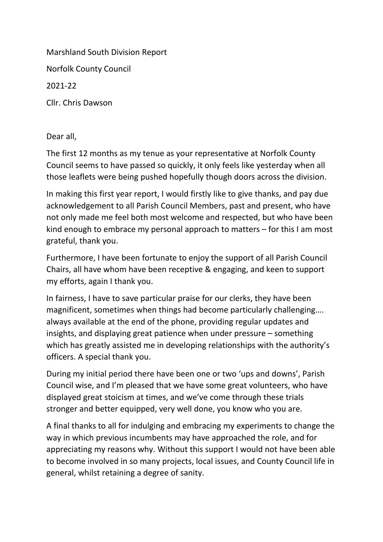Marshland South Division Report Norfolk County Council 2021-22 Cllr. Chris Dawson

Dear all,

The first 12 months as my tenue as your representative at Norfolk County Council seems to have passed so quickly, it only feels like yesterday when all those leaflets were being pushed hopefully though doors across the division.

In making this first year report, I would firstly like to give thanks, and pay due acknowledgement to all Parish Council Members, past and present, who have not only made me feel both most welcome and respected, but who have been kind enough to embrace my personal approach to matters – for this I am most grateful, thank you.

Furthermore, I have been fortunate to enjoy the support of all Parish Council Chairs, all have whom have been receptive & engaging, and keen to support my efforts, again I thank you.

In fairness, I have to save particular praise for our clerks, they have been magnificent, sometimes when things had become particularly challenging…. always available at the end of the phone, providing regular updates and insights, and displaying great patience when under pressure – something which has greatly assisted me in developing relationships with the authority's officers. A special thank you.

During my initial period there have been one or two 'ups and downs', Parish Council wise, and I'm pleased that we have some great volunteers, who have displayed great stoicism at times, and we've come through these trials stronger and better equipped, very well done, you know who you are.

A final thanks to all for indulging and embracing my experiments to change the way in which previous incumbents may have approached the role, and for appreciating my reasons why. Without this support I would not have been able to become involved in so many projects, local issues, and County Council life in general, whilst retaining a degree of sanity.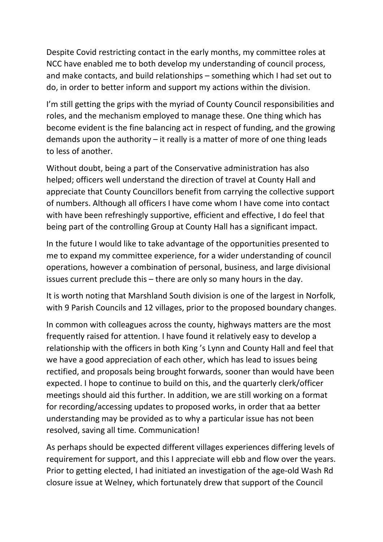Despite Covid restricting contact in the early months, my committee roles at NCC have enabled me to both develop my understanding of council process, and make contacts, and build relationships – something which I had set out to do, in order to better inform and support my actions within the division.

I'm still getting the grips with the myriad of County Council responsibilities and roles, and the mechanism employed to manage these. One thing which has become evident is the fine balancing act in respect of funding, and the growing demands upon the authority – it really is a matter of more of one thing leads to less of another.

Without doubt, being a part of the Conservative administration has also helped; officers well understand the direction of travel at County Hall and appreciate that County Councillors benefit from carrying the collective support of numbers. Although all officers I have come whom I have come into contact with have been refreshingly supportive, efficient and effective, I do feel that being part of the controlling Group at County Hall has a significant impact.

In the future I would like to take advantage of the opportunities presented to me to expand my committee experience, for a wider understanding of council operations, however a combination of personal, business, and large divisional issues current preclude this – there are only so many hours in the day.

It is worth noting that Marshland South division is one of the largest in Norfolk, with 9 Parish Councils and 12 villages, prior to the proposed boundary changes.

In common with colleagues across the county, highways matters are the most frequently raised for attention. I have found it relatively easy to develop a relationship with the officers in both King 's Lynn and County Hall and feel that we have a good appreciation of each other, which has lead to issues being rectified, and proposals being brought forwards, sooner than would have been expected. I hope to continue to build on this, and the quarterly clerk/officer meetings should aid this further. In addition, we are still working on a format for recording/accessing updates to proposed works, in order that aa better understanding may be provided as to why a particular issue has not been resolved, saving all time. Communication!

As perhaps should be expected different villages experiences differing levels of requirement for support, and this I appreciate will ebb and flow over the years. Prior to getting elected, I had initiated an investigation of the age-old Wash Rd closure issue at Welney, which fortunately drew that support of the Council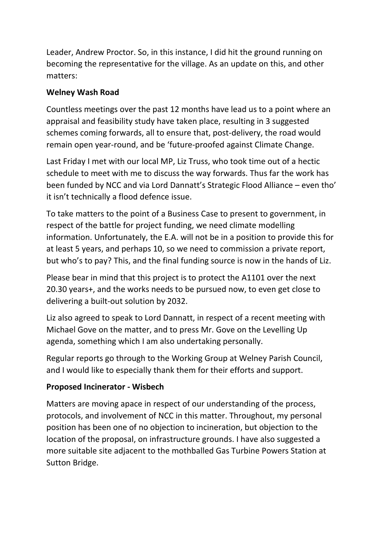Leader, Andrew Proctor. So, in this instance, I did hit the ground running on becoming the representative for the village. As an update on this, and other matters:

#### **Welney Wash Road**

Countless meetings over the past 12 months have lead us to a point where an appraisal and feasibility study have taken place, resulting in 3 suggested schemes coming forwards, all to ensure that, post-delivery, the road would remain open year-round, and be 'future-proofed against Climate Change.

Last Friday I met with our local MP, Liz Truss, who took time out of a hectic schedule to meet with me to discuss the way forwards. Thus far the work has been funded by NCC and via Lord Dannatt's Strategic Flood Alliance – even tho' it isn't technically a flood defence issue.

To take matters to the point of a Business Case to present to government, in respect of the battle for project funding, we need climate modelling information. Unfortunately, the E.A. will not be in a position to provide this for at least 5 years, and perhaps 10, so we need to commission a private report, but who's to pay? This, and the final funding source is now in the hands of Liz.

Please bear in mind that this project is to protect the A1101 over the next 20.30 years+, and the works needs to be pursued now, to even get close to delivering a built-out solution by 2032.

Liz also agreed to speak to Lord Dannatt, in respect of a recent meeting with Michael Gove on the matter, and to press Mr. Gove on the Levelling Up agenda, something which I am also undertaking personally.

Regular reports go through to the Working Group at Welney Parish Council, and I would like to especially thank them for their efforts and support.

#### **Proposed Incinerator - Wisbech**

Matters are moving apace in respect of our understanding of the process, protocols, and involvement of NCC in this matter. Throughout, my personal position has been one of no objection to incineration, but objection to the location of the proposal, on infrastructure grounds. I have also suggested a more suitable site adjacent to the mothballed Gas Turbine Powers Station at Sutton Bridge.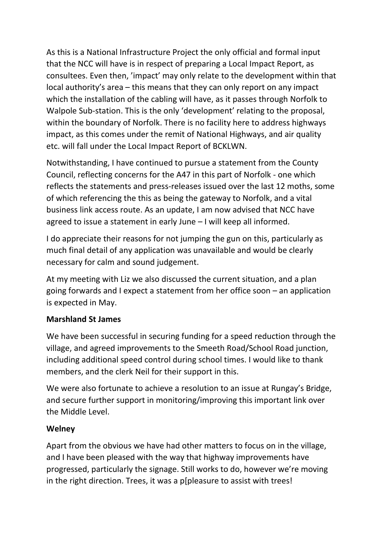As this is a National Infrastructure Project the only official and formal input that the NCC will have is in respect of preparing a Local Impact Report, as consultees. Even then, 'impact' may only relate to the development within that local authority's area – this means that they can only report on any impact which the installation of the cabling will have, as it passes through Norfolk to Walpole Sub-station. This is the only 'development' relating to the proposal, within the boundary of Norfolk. There is no facility here to address highways impact, as this comes under the remit of National Highways, and air quality etc. will fall under the Local Impact Report of BCKLWN.

Notwithstanding, I have continued to pursue a statement from the County Council, reflecting concerns for the A47 in this part of Norfolk - one which reflects the statements and press-releases issued over the last 12 moths, some of which referencing the this as being the gateway to Norfolk, and a vital business link access route. As an update, I am now advised that NCC have agreed to issue a statement in early June – I will keep all informed.

I do appreciate their reasons for not jumping the gun on this, particularly as much final detail of any application was unavailable and would be clearly necessary for calm and sound judgement.

At my meeting with Liz we also discussed the current situation, and a plan going forwards and I expect a statement from her office soon – an application is expected in May.

## **Marshland St James**

We have been successful in securing funding for a speed reduction through the village, and agreed improvements to the Smeeth Road/School Road junction, including additional speed control during school times. I would like to thank members, and the clerk Neil for their support in this.

We were also fortunate to achieve a resolution to an issue at Rungay's Bridge, and secure further support in monitoring/improving this important link over the Middle Level.

## **Welney**

Apart from the obvious we have had other matters to focus on in the village, and I have been pleased with the way that highway improvements have progressed, particularly the signage. Still works to do, however we're moving in the right direction. Trees, it was a p[pleasure to assist with trees!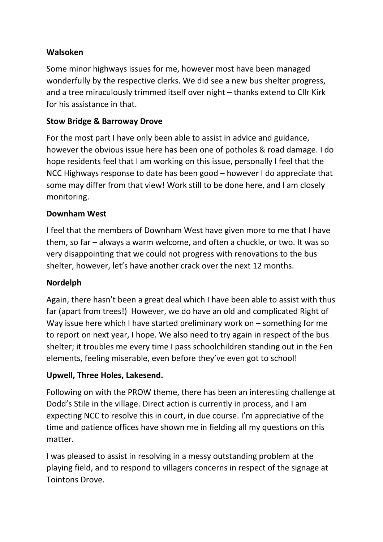#### **Walsoken**

Some minor highways issues for me, however most have been managed wonderfully by the respective clerks. We did see a new bus shelter progress, and a tree miraculously trimmed itself over night – thanks extend to Cllr Kirk for his assistance in that.

# **Stow Bridge & Barroway Drove**

For the most part I have only been able to assist in advice and guidance, however the obvious issue here has been one of potholes & road damage. I do hope residents feel that I am working on this issue, personally I feel that the NCC Highways response to date has been good – however I do appreciate that some may differ from that view! Work still to be done here, and I am closely monitoring.

## **Downham West**

I feel that the members of Downham West have given more to me that I have them, so far – always a warm welcome, and often a chuckle, or two. It was so very disappointing that we could not progress with renovations to the bus shelter, however, let's have another crack over the next 12 months.

## **Nordelph**

Again, there hasn't been a great deal which I have been able to assist with thus far (apart from trees!) However, we do have an old and complicated Right of Way issue here which I have started preliminary work on – something for me to report on next year, I hope. We also need to try again in respect of the bus shelter; it troubles me every time I pass schoolchildren standing out in the Fen elements, feeling miserable, even before they've even got to school!

## **Upwell, Three Holes, Lakesend.**

Following on with the PROW theme, there has been an interesting challenge at Dodd's Stile in the village. Direct action is currently in process, and I am expecting NCC to resolve this in court, in due course. I'm appreciative of the time and patience offices have shown me in fielding all my questions on this matter.

I was pleased to assist in resolving in a messy outstanding problem at the playing field, and to respond to villagers concerns in respect of the signage at Tointons Drove.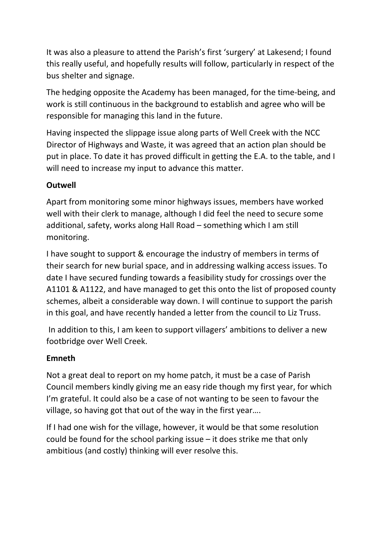It was also a pleasure to attend the Parish's first 'surgery' at Lakesend; I found this really useful, and hopefully results will follow, particularly in respect of the bus shelter and signage.

The hedging opposite the Academy has been managed, for the time-being, and work is still continuous in the background to establish and agree who will be responsible for managing this land in the future.

Having inspected the slippage issue along parts of Well Creek with the NCC Director of Highways and Waste, it was agreed that an action plan should be put in place. To date it has proved difficult in getting the E.A. to the table, and I will need to increase my input to advance this matter.

## **Outwell**

Apart from monitoring some minor highways issues, members have worked well with their clerk to manage, although I did feel the need to secure some additional, safety, works along Hall Road – something which I am still monitoring.

I have sought to support & encourage the industry of members in terms of their search for new burial space, and in addressing walking access issues. To date I have secured funding towards a feasibility study for crossings over the A1101 & A1122, and have managed to get this onto the list of proposed county schemes, albeit a considerable way down. I will continue to support the parish in this goal, and have recently handed a letter from the council to Liz Truss.

 In addition to this, I am keen to support villagers' ambitions to deliver a new footbridge over Well Creek.

## **Emneth**

Not a great deal to report on my home patch, it must be a case of Parish Council members kindly giving me an easy ride though my first year, for which I'm grateful. It could also be a case of not wanting to be seen to favour the village, so having got that out of the way in the first year….

If I had one wish for the village, however, it would be that some resolution could be found for the school parking issue – it does strike me that only ambitious (and costly) thinking will ever resolve this.